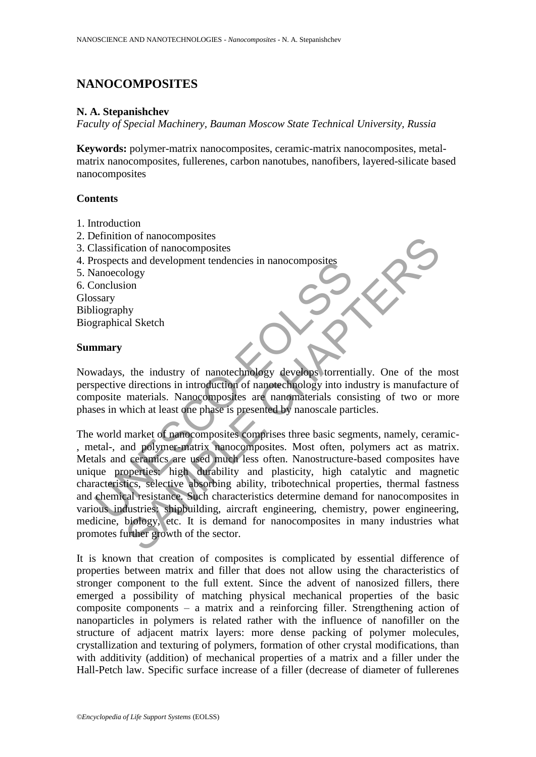# **NANOCOMPOSITES**

#### **N. A. Stepanishchev**

*Faculty of Special Machinery, Bauman Moscow State Technical University, Russia*

**Keywords:** polymer-matrix nanocomposites, ceramic-matrix nanocomposites, metalmatrix nanocomposites, fullerenes, carbon nanotubes, nanofibers, layered-silicate based nanocomposites

#### **Contents**

- 1. Introduction
- 2. Definition of nanocomposites
- 3. Classification of nanocomposites
- 4. Prospects and development tendencies in nanocomposites
- 5. Nanoecology
- 6. Conclusion

Glossary

Bibliography

Biographical Sketch

#### **Summary**

Nowadays, the industry of nanotechnology develops torrentially. One of the most perspective directions in introduction of nanotechnology into industry is manufacture of composite materials. Nanocomposites are nanomaterials consisting of two or more phases in which at least one phase is presented by nanoscale particles.

To also a development tendencies in nanocomposites<br>
(anoecology<br>
stary<br>
iography<br>
stary<br>
iography<br>
graphical Sketch<br> **amary**<br>
vadays, the industry of nanotechnology develops forrenti<br>
pective directions in introduction of The manocomposites<br>
and development tendencies in nanocomposites<br>
and development tendencies in nanocomposites<br>
sand development tendencies in nanocomposites<br>
lology<br>
ion<br>
the industry of nanotechnology develops forrential The world market of nanocomposites comprises three basic segments, namely, ceramic- , metal-, and polymer-matrix nanocomposites. Most often, polymers act as matrix. Metals and ceramics are used much less often. Nanostructure-based composites have unique properties: high durability and plasticity, high catalytic and magnetic characteristics, selective absorbing ability, tribotechnical properties, thermal fastness and chemical resistance. Such characteristics determine demand for nanocomposites in various industries: shipbuilding, aircraft engineering, chemistry, power engineering, medicine, biology, etc. It is demand for nanocomposites in many industries what promotes further growth of the sector.

It is known that creation of composites is complicated by essential difference of properties between matrix and filler that does not allow using the characteristics of stronger component to the full extent. Since the advent of nanosized fillers, there emerged a possibility of matching physical mechanical properties of the basic composite components – a matrix and a reinforcing filler. Strengthening action of nanoparticles in polymers is related rather with the influence of nanofiller on the structure of adjacent matrix layers: more dense packing of polymer molecules, crystallization and texturing of polymers, formation of other crystal modifications, than with additivity (addition) of mechanical properties of a matrix and a filler under the Hall-Petch law. Specific surface increase of a filler (decrease of diameter of fullerenes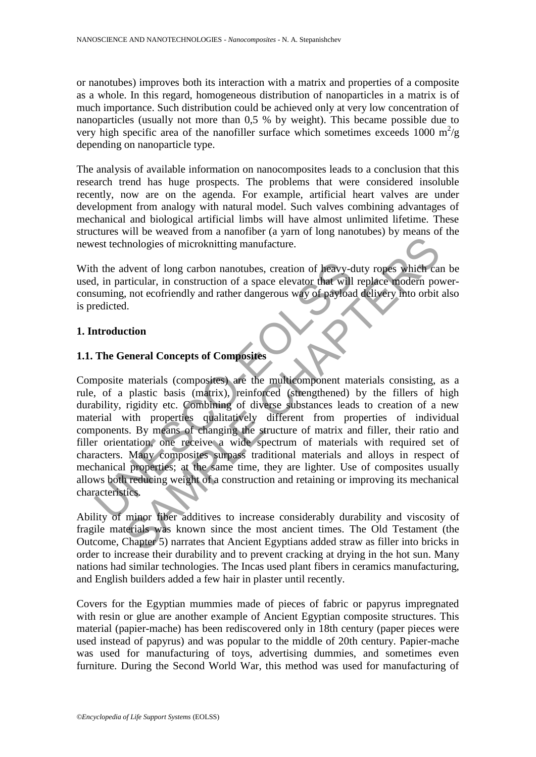or nanotubes) improves both its interaction with a matrix and properties of a composite as a whole. In this regard, homogeneous distribution of nanoparticles in a matrix is of much importance. Such distribution could be achieved only at very low concentration of nanoparticles (usually not more than 0,5 % by weight). This became possible due to very high specific area of the nanofiller surface which sometimes exceeds 1000  $m^2/g$ depending on nanoparticle type.

The analysis of available information on nanocomposites leads to a conclusion that this research trend has huge prospects. The problems that were considered insoluble recently, now are on the agenda. For example, artificial heart valves are under development from analogy with natural model. Such valves combining advantages of mechanical and biological artificial limbs will have almost unlimited lifetime. These structures will be weaved from a nanofiber (a yarn of long nanotubes) by means of the newest technologies of microknitting manufacture.

With the advent of long carbon nanotubes, creation of heavy-duty ropes which can be used, in particular, in construction of a space elevator that will replace modern powerconsuming, not ecofriendly and rather dangerous way of payload delivery into orbit also is predicted.

### **1. Introduction**

### **1.1. The General Concepts of Composites**

In the advent of long carbon nanotubes, creation of heavy-d<br>
1, in particular, in construction of a space elevator that will<br>
suming, not ecofriendly and rather dangerous way of payloac<br>
redicted.<br> **The General Concepts of** and only the state of the method of the method of the method of the method of the method of the method of a pack of the method of a pack of payload delivery into orbit the tricular, in construction of a space elevator that Composite materials (composites) are the multicomponent materials consisting, as a rule, of a plastic basis (matrix), reinforced (strengthened) by the fillers of high durability, rigidity etc. Combining of diverse substances leads to creation of a new material with properties qualitatively different from properties of individual components. By means of changing the structure of matrix and filler, their ratio and filler orientation, one receive a wide spectrum of materials with required set of characters. Many composites surpass traditional materials and alloys in respect of mechanical properties; at the same time, they are lighter. Use of composites usually allows both reducing weight of a construction and retaining or improving its mechanical characteristics.

Ability of minor fiber additives to increase considerably durability and viscosity of fragile materials was known since the most ancient times. The Old Testament (the Outcome, Chapter 5) narrates that Ancient Egyptians added straw as filler into bricks in order to increase their durability and to prevent cracking at drying in the hot sun. Many nations had similar technologies. The Incas used plant fibers in ceramics manufacturing, and English builders added a few hair in plaster until recently.

Covers for the Egyptian mummies made of pieces of fabric or papyrus impregnated with resin or glue are another example of Ancient Egyptian composite structures. This material (papier-mache) has been rediscovered only in 18th century (paper pieces were used instead of papyrus) and was popular to the middle of 20th century. Papier-mache was used for manufacturing of toys, advertising dummies, and sometimes even furniture. During the Second World War, this method was used for manufacturing of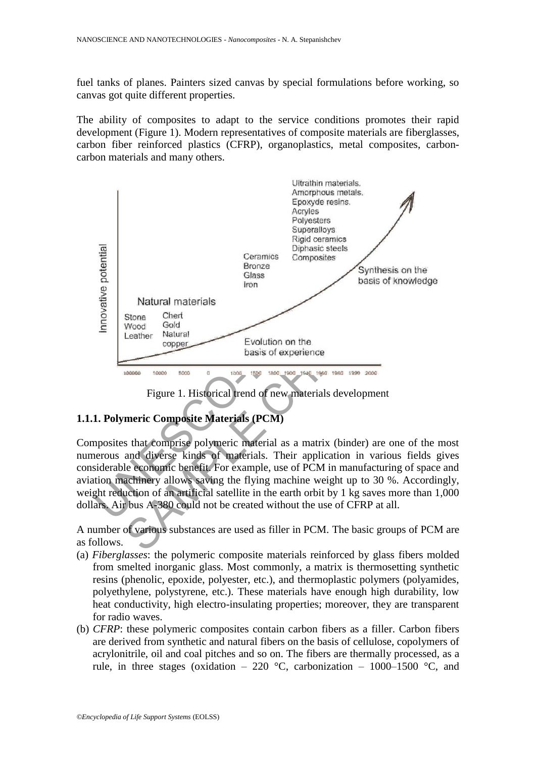fuel tanks of planes. Painters sized canvas by special formulations before working, so canvas got quite different properties.

The ability of composites to adapt to the service conditions promotes their rapid development (Figure 1). Modern representatives of composite materials are fiberglasses, carbon fiber reinforced plastics (CFRP), organoplastics, metal composites, carboncarbon materials and many others.



Figure 1. Historical trend of new materials development

# **1.1.1. Polymeric Composite Materials (PCM)**

Composites that comprise polymeric material as a matrix (binder) are one of the most numerous and diverse kinds of materials. Their application in various fields gives considerable economic benefit. For example, use of PCM in manufacturing of space and aviation machinery allows saving the flying machine weight up to 30 %. Accordingly, weight reduction of an artificial satellite in the earth orbit by 1 kg saves more than 1,000 dollars. Air bus А-380 could not be created without the use of CFRP at all.

A number of various substances are used as filler in PCM. The basic groups of PCM are as follows.

- (a) *Fiberglasses*: the polymeric composite materials reinforced by glass fibers molded from smelted inorganic glass. Most commonly, a matrix is thermosetting synthetic resins (phenolic, epoxide, polyester, etc.), and thermoplastic polymers (polyamides, polyethylene, polystyrene, etc.). These materials have enough high durability, low heat conductivity, high electro-insulating properties; moreover, they are transparent for radio waves.
- (b) *CFRP*: these polymeric composites contain carbon fibers as a filler. Carbon fibers are derived from synthetic and natural fibers on the basis of cellulose, copolymers of acrylonitrile, oil and coal pitches and so on. The fibers are thermally processed, as a rule, in three stages (oxidation – 220 °C, carbonization – 1000–1500 °C, and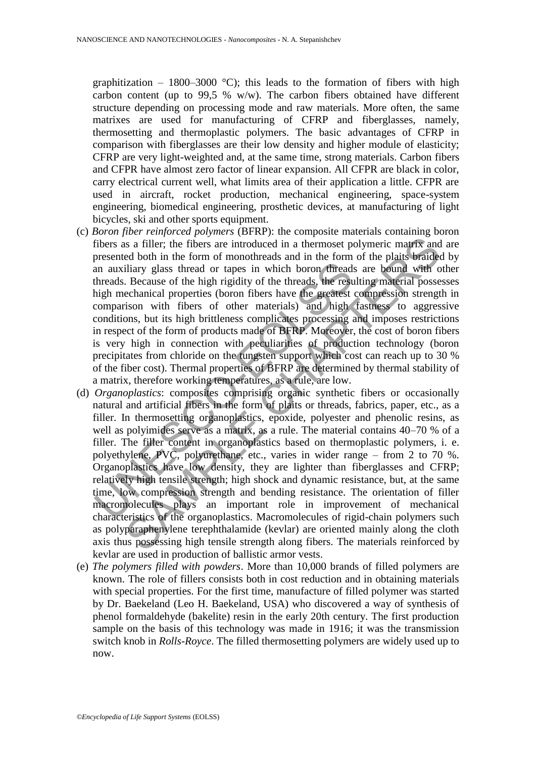graphitization – 1800–3000 °C); this leads to the formation of fibers with high carbon content (up to 99.5 % w/w). The carbon fibers obtained have different structure depending on processing mode and raw materials. More often, the same matrixes are used for manufacturing of CFRP and fiberglasses, namely, thermosetting and thermoplastic polymers. The basic advantages of CFRP in comparison with fiberglasses are their low density and higher module of elasticity; CFRP are very light-weighted and, at the same time, strong materials. Carbon fibers and CFPR have almost zero factor of linear expansion. All CFPR are black in color, carry electrical current well, what limits area of their application a little. CFPR are used in aircraft, rocket production, mechanical engineering, space-system engineering, biomedical engineering, prosthetic devices, at manufacturing of light bicycles, ski and other sports equipment.

- (c) *Boron fiber reinforced polymers* (BFRP): the composite materials containing boron fibers as a filler; the fibers are introduced in a thermoset polymeric matrix and are presented both in the form of monothreads and in the form of the plaits braided by an auxiliary glass thread or tapes in which boron threads are bound with other threads. Because of the high rigidity of the threads, the resulting material possesses high mechanical properties (boron fibers have the greatest compression strength in comparison with fibers of other materials) and high fastness to aggressive conditions, but its high brittleness complicates processing and imposes restrictions in respect of the form of products made of BFRP. Moreover, the cost of boron fibers is very high in connection with peculiarities of production technology (boron precipitates from chloride on the tungsten support which cost can reach up to 30 % of the fiber cost). Thermal properties of BFRP are determined by thermal stability of a matrix, therefore working temperatures, as a rule, are low.
- an auxiliary glass thread or tapes in which boron thread<br>threads. Because of the high rigidity of the threads, the resultigh mechanical properties (boron fibers have the greatest<br>comparison with fibers of other materials) is a filler; the fibers are introduced in a thermoset polymeric matrix and<br>d both in the form of monothreads and in the form of the plaits braide<br>dilary glass thread or tapes in which boron directors. Hereads are bound wi (d) *Organoplastics*: composites comprising organic synthetic fibers or occasionally natural and artificial fibers in the form of plaits or threads, fabrics, paper, etc., as a filler. In thermosetting organoplastics, epoxide, polyester and phenolic resins, as well as polyimides serve as a matrix, as a rule. The material contains 40–70 % of a filler. The filler content in organoplastics based on thermoplastic polymers, i. e. polyethylene, PVC, polyurethane, etc., varies in wider range – from 2 to 70 %. Organoplastics have low density, they are lighter than fiberglasses and CFRP; relatively high tensile strength; high shock and dynamic resistance, but, at the same time, low compression strength and bending resistance. The orientation of filler macromolecules plays an important role in improvement of mechanical characteristics of the organoplastics. Macromolecules of rigid-chain polymers such as polyparaphenylene terephthalamide (kevlar) are oriented mainly along the cloth axis thus possessing high tensile strength along fibers. The materials reinforced by kevlar are used in production of ballistic armor vests.
- (e) *The polymers filled with powders*. More than 10,000 brands of filled polymers are known. The role of fillers consists both in cost reduction and in obtaining materials with special properties. For the first time, manufacture of filled polymer was started by Dr. Baekeland (Leo H. Baekeland, USA) who discovered a way of synthesis of phenol formaldehyde (bakelite) resin in the early 20th century. The first production sample on the basis of this technology was made in 1916; it was the transmission switch knob in *Rolls-Royce*. The filled thermosetting polymers are widely used up to now.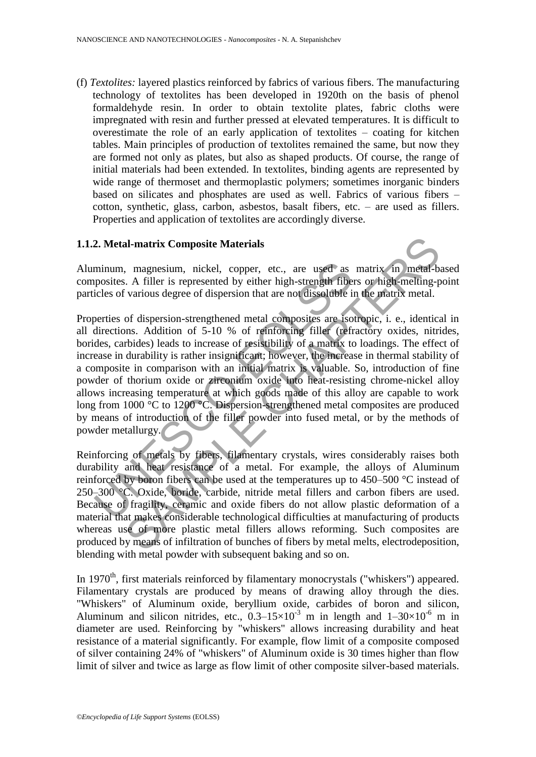(f) *Textolites:* layered plastics reinforced by fabrics of various fibers. The manufacturing technology of textolites has been developed in 1920th on the basis of phenol formaldehyde resin. In order to obtain textolite plates, fabric cloths were impregnated with resin and further pressed at elevated temperatures. It is difficult to overestimate the role of an early application of textolites – coating for kitchen tables. Main principles of production of textolites remained the same, but now they are formed not only as plates, but also as shaped products. Of course, the range of initial materials had been extended. In textolites, binding agents are represented by wide range of thermoset and thermoplastic polymers; sometimes inorganic binders based on silicates and phosphates are used as well. Fabrics of various fibers – cotton, synthetic, glass, carbon, asbestos, basalt fibers, etc. – are used as fillers. Properties and application of textolites are accordingly diverse.

### **1.1.2. Metal-matrix Composite Materials**

Aluminum, magnesium, nickel, copper, etc., are used as matrix in metal-based composites. A filler is represented by either high-strength fibers or high-melting-point particles of various degree of dispersion that are not dissoluble in the matrix metal.

minum, magnesium, nickel, copper, etc., are used as<br>posites. A filler is represented by either high-strength fibe-<br>icles of various degree of dispersion that are not dissoluble is<br>certies of dispersion-strengthened metal c al-matrix Composite Materials<br>
a., magnesium, nickel, copper, etc., are used as matrix in metal-b.<br>
A filler is represented by either high-strength fibers or high-melting-p<br>
various degree of dispersion that are not disso Properties of dispersion-strengthened metal composites are isotropic, i. e., identical in all directions. Addition of 5-10 % of reinforcing filler (refractory oxides, nitrides, borides, carbides) leads to increase of resistibility of a matrix to loadings. The effect of increase in durability is rather insignificant; however, the increase in thermal stability of a composite in comparison with an initial matrix is valuable. So, introduction of fine powder of thorium oxide or zirconium oxide into heat-resisting chrome-nickel alloy allows increasing temperature at which goods made of this alloy are capable to work long from 1000 °C to 1200 °C. Dispersion-strengthened metal composites are produced by means of introduction of the filler powder into fused metal, or by the methods of powder metallurgy.

Reinforcing of metals by fibers, filamentary crystals, wires considerably raises both durability and heat resistance of a metal. For example, the alloys of Aluminum reinforced by boron fibers can be used at the temperatures up to 450–500 °C instead of 250–300 °C. Oxide, boride, carbide, nitride metal fillers and carbon fibers are used. Because of fragility, ceramic and oxide fibers do not allow plastic deformation of a material that makes considerable technological difficulties at manufacturing of products whereas use of more plastic metal fillers allows reforming. Such composites are produced by means of infiltration of bunches of fibers by metal melts, electrodeposition, blending with metal powder with subsequent baking and so on.

In  $1970<sup>th</sup>$ , first materials reinforced by filamentary monocrystals ("whiskers") appeared. Filamentary crystals are produced by means of drawing alloy through the dies. "Whiskers" of Aluminum oxide, beryllium oxide, carbides of boron and silicon, Aluminum and silicon nitrides, etc.,  $0.3-15\times10^{-3}$  m in length and  $1-30\times10^{-6}$  m in diameter are used. Reinforcing by "whiskers" allows increasing durability and heat resistance of a material significantly. For example, flow limit of a composite composed of silver containing 24% of "whiskers" of Aluminum oxide is 30 times higher than flow limit of silver and twice as large as flow limit of other composite silver-based materials.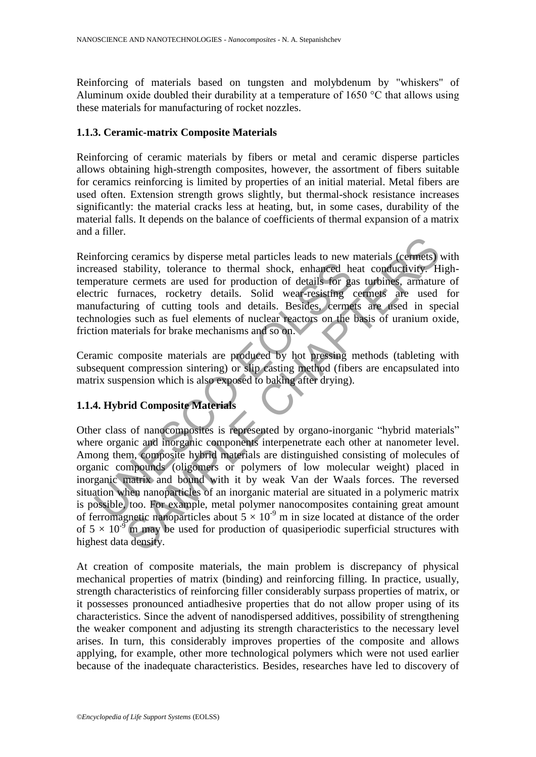Reinforcing of materials based on tungsten and molybdenum by "whiskers" of Aluminum oxide doubled their durability at a temperature of 1650 °С that allows using these materials for manufacturing of rocket nozzles.

## **1.1.3. Ceramic-matrix Composite Materials**

Reinforcing of ceramic materials by fibers or metal and ceramic disperse particles allows obtaining high-strength composites, however, the assortment of fibers suitable for ceramics reinforcing is limited by properties of an initial material. Metal fibers are used often. Extension strength grows slightly, but thermal-shock resistance increases significantly: the material cracks less at heating, but, in some cases, durability of the material falls. It depends on the balance of coefficients of thermal expansion of a matrix and a filler.

Reinforcing ceramics by disperse metal particles leads to new materials (cermets) with increased stability, tolerance to thermal shock, enhanced heat conductivity. Hightemperature cermets are used for production of details for gas turbines, armature of electric furnaces, rocketry details. Solid wear-resisting cermets are used for manufacturing of cutting tools and details. Besides, cermets are used in special technologies such as fuel elements of nuclear reactors on the basis of uranium oxide, friction materials for brake mechanisms and so on.

Ceramic composite materials are produced by hot pressing methods (tableting with subsequent compression sintering) or slip casting method (fibers are encapsulated into matrix suspension which is also exposed to baking after drying).

# **1.1.4. Hybrid Composite Materials**

eased stability, tolerance to thermal shock, enhanced he<br>eased stability, tolerance to thermal shock, enhanced he<br>perature cermets are used for production of details for gatric<br>turic furnaces, rocketry details. Solid wear g ceramics by disperse metal particles leads to new materials (cermets)<br>stability, tolerance to thermal shock, enhanced heat conductivity. He cermets are used for production of details for gas turbines, armaturemaces, roc Other class of nanocomposites is represented by organo-inorganic "hybrid materials" where organic and inorganic components interpenetrate each other at nanometer level. Among them, composite hybrid materials are distinguished consisting of molecules of organic compounds (oligomers or polymers of low molecular weight) placed in inorganic matrix and bound with it by weak Van der Waals forces. The reversed situation when nanoparticles of an inorganic material are situated in a polymeric matrix is possible, too. For example, metal polymer nanocomposites containing great amount of ferromagnetic nanoparticles about  $5 \times 10^{-9}$  m in size located at distance of the order of  $5 \times 10^{-9}$  m may be used for production of quasiperiodic superficial structures with highest data density.

At creation of composite materials, the main problem is discrepancy of physical mechanical properties of matrix (binding) and reinforcing filling. In practice, usually, strength characteristics of reinforcing filler considerably surpass properties of matrix, or it possesses pronounced antiadhesive properties that do not allow proper using of its characteristics. Since the advent of nanodispersed additives, possibility of strengthening the weaker component and adjusting its strength characteristics to the necessary level arises. In turn, this considerably improves properties of the composite and allows applying, for example, other more technological polymers which were not used earlier because of the inadequate characteristics. Besides, researches have led to discovery of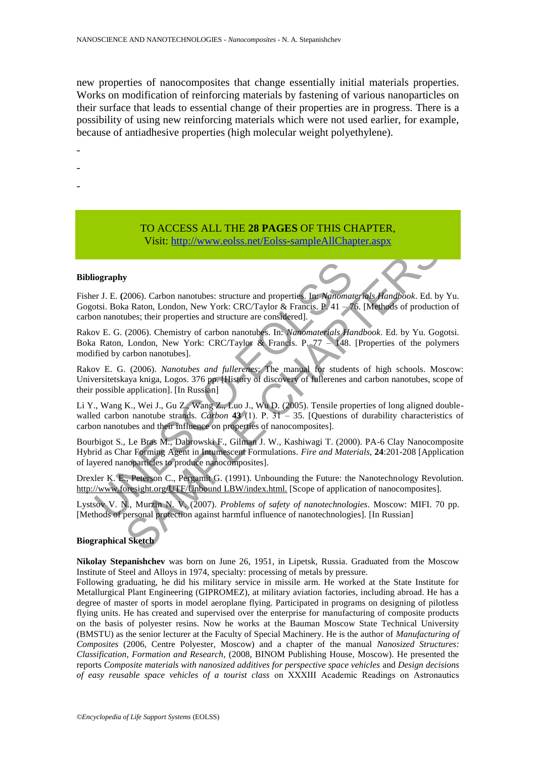new properties of nanocomposites that change essentially initial materials properties. Works on modification of reinforcing materials by fastening of various nanoparticles on their surface that leads to essential change of their properties are in progress. There is a possibility of using new reinforcing materials which were not used earlier, for example, because of antiadhesive properties (high molecular weight polyethylene).

- -
- -
- -

## TO ACCESS ALL THE **28 PAGES** OF THIS CHAPTER, Visit: http://www.eolss.net/Eolss-sampleAllChapter.aspx

#### **Bibliography**

Fisher J. E. **(**2006). Carbon nanotubes: structure and properties. In: *Nanomaterials Handbook*. Ed. by Yu. Gogotsi. Boka Raton, London, New York: CRC/Taylor & Francis. P. 41 – 76. [Methods of production of carbon nanotubes; their properties and structure are considered].

Rakov E. G. (2006). Chemistry of carbon nanotubes. In: *Nanomaterials Handbook*. Ed. by Yu. Gogotsi. Boka Raton, London, New York: CRC/Taylor & Francis. P.  $77 - 148$ . [Properties of the polymers modified by carbon nanotubes].

Rakov E. G. (2006). *Nanotubes and fullerenes*: The manual for students of high schools. Moscow: Universitetskaya kniga, Logos. 376 pp. [History of discovery of fullerenes and carbon nanotubes, scope of their possible application]. [In Russian]

Li Y., Wang K., Wei J., Gu Z., Wang Z., Luo J., Wu D. (2005). Tensile properties of long aligned doublewalled carbon nanotube strands. *Carbon* 43 (1). P. 31 – 35. [Questions of durability characteristics of carbon nanotubes and their influence on properties of nanocomposites].

iography<br>
I. E. (2006). Carbon nanotubes: structure and properties. In: Nanomat<br>
Ist. Boka Raton, London, New York: CRC/Taylor & Francis. P. 41 – 7<br>
I. Nanomatoubes; their properties and structure are considered].<br>
I. Nano Visit: http://www.colss.net/Eolss-sampleAllChapter.aspx<br>
2006). Carbon nanotubes: structure and properties. In: Manomaterials Handbook. Ed. by<br>
2006). Carbon nanotubes: structure are considered.<br>
2006). Chemistry of carbo Bourbigot S., Le Bras M., Dabrowski F., Gilman J. W., Kashiwagi T. (2000). PA-6 Clay Nanocomposite Hybrid as Char Forming Agent in Intumescent Formulations. *Fire and Materials*, **24**:201-208 [Application of layered nanoparticles to produce nanocomposites].

Drexler K. E., Peterson C., Pergamit G. (1991). Unbounding the Future: the Nanotechnology Revolution. http://www.foresight.org/UTF/Unbound LBW/index.html. [Scope of application of nanocomposites].

Lystsov V. N., Murzin N. V. (2007). *Problems of safety of nanotechnologies*. Moscow: MIFI. 70 pp. [Methods of personal protection against harmful influence of nanotechnologies]. [In Russian]

#### **Biographical Sketch**

**Nikolay Stepanishchev** was born on June 26, 1951, in Lipetsk, Russia. Graduated from the Moscow Institute of Steel and Alloys in 1974, specialty: processing of metals by pressure.

Following graduating, he did his military service in missile arm. He worked at the State Institute for Metallurgical Plant Engineering (GIPROMEZ), at military aviation factories, including abroad. He has a degree of master of sports in model aeroplane flying. Participated in programs on designing of pilotless flying units. He has created and supervised over the enterprise for manufacturing of composite products on the basis of polyester resins. Now he works at the Bauman Moscow State Technical University (BMSTU) as the senior lecturer at the Faculty of Special Machinery. He is the author of *Manufacturing of Composites* (2006, Centre Polyester, Moscow) and a chapter of the manual *Nanosized Structures: Classification, Formation and Research*, (2008, BINOM Publishing House, Moscow). He presented the reports *Composite materials with nanosized additives for perspective space vehicles* and *Design decisions of easy reusable space vehicles of a tourist class* on ΧΧΧІІІ Academic Readings on Astronautics